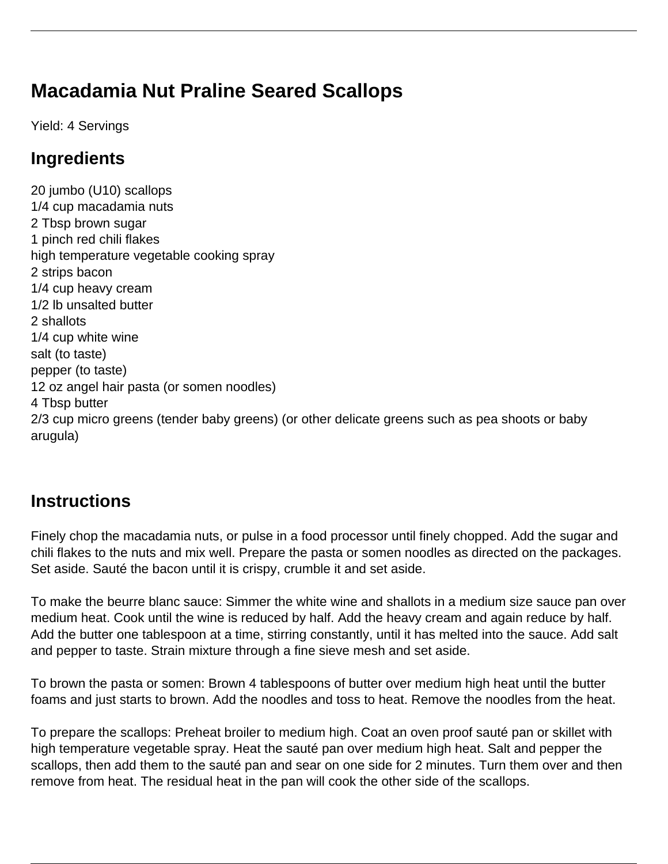# **Macadamia Nut Praline Seared Scallops**

Yield: 4 Servings

### **Ingredients**

20 jumbo (U10) scallops 1/4 cup macadamia nuts 2 Tbsp brown sugar 1 pinch red chili flakes high temperature vegetable cooking spray 2 strips bacon 1/4 cup heavy cream 1/2 lb unsalted butter 2 shallots 1/4 cup white wine salt (to taste) pepper (to taste) 12 oz angel hair pasta (or somen noodles) 4 Tbsp butter 2/3 cup micro greens (tender baby greens) (or other delicate greens such as pea shoots or baby arugula)

## **Instructions**

Finely chop the macadamia nuts, or pulse in a food processor until finely chopped. Add the sugar and chili flakes to the nuts and mix well. Prepare the pasta or somen noodles as directed on the packages. Set aside. Sauté the bacon until it is crispy, crumble it and set aside.

To make the beurre blanc sauce: Simmer the white wine and shallots in a medium size sauce pan over medium heat. Cook until the wine is reduced by half. Add the heavy cream and again reduce by half. Add the butter one tablespoon at a time, stirring constantly, until it has melted into the sauce. Add salt and pepper to taste. Strain mixture through a fine sieve mesh and set aside.

To brown the pasta or somen: Brown 4 tablespoons of butter over medium high heat until the butter foams and just starts to brown. Add the noodles and toss to heat. Remove the noodles from the heat.

To prepare the scallops: Preheat broiler to medium high. Coat an oven proof sauté pan or skillet with high temperature vegetable spray. Heat the sauté pan over medium high heat. Salt and pepper the scallops, then add them to the sauté pan and sear on one side for 2 minutes. Turn them over and then remove from heat. The residual heat in the pan will cook the other side of the scallops.